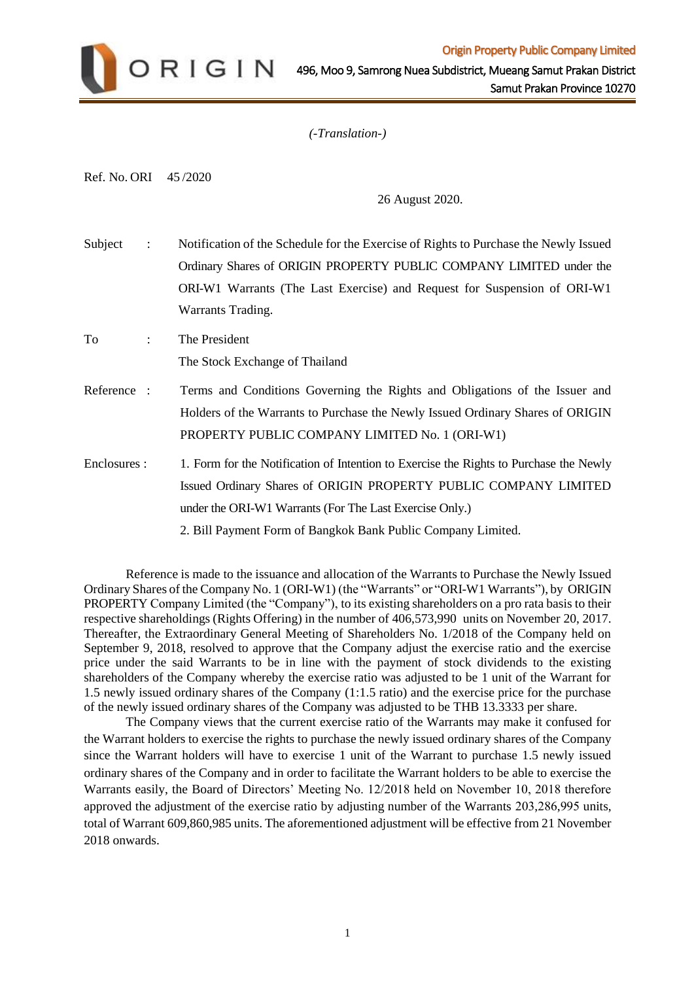

*(-Translation-)* 

Ref. No. ORI 45 /2020

26 August 2020.

Subject : Notification of the Schedule for the Exercise of Rights to Purchase the Newly Issued Ordinary Shares of ORIGIN PROPERTY PUBLIC COMPANY LIMITED under the ORI-W1 Warrants (The Last Exercise) and Request for Suspension of ORI-W1 Warrants Trading. To : The President The Stock Exchange of Thailand Reference : Terms and Conditions Governing the Rights and Obligations of the Issuer and Holders of the Warrants to Purchase the Newly Issued Ordinary Shares of ORIGIN PROPERTY PUBLIC COMPANY LIMITED No. 1 (ORI-W1) Enclosures : 1. Form for the Notification of Intention to Exercise the Rights to Purchase the Newly Issued Ordinary Shares of ORIGIN PROPERTY PUBLIC COMPANY LIMITED under the ORI-W1 Warrants (For The Last Exercise Only.)

2. Bill Payment Form of Bangkok Bank Public Company Limited.

Reference is made to the issuance and allocation of the Warrants to Purchase the Newly Issued Ordinary Shares of the Company No. 1 (ORI-W1) (the "Warrants" or "ORI-W1 Warrants"), by ORIGIN PROPERTY Company Limited (the "Company"), to its existing shareholders on a pro rata basis to their respective shareholdings (Rights Offering) in the number of 406,573,990 units on November 20, 2017. Thereafter, the Extraordinary General Meeting of Shareholders No. 1/2018 of the Company held on September 9, 2018, resolved to approve that the Company adjust the exercise ratio and the exercise price under the said Warrants to be in line with the payment of stock dividends to the existing shareholders of the Company whereby the exercise ratio was adjusted to be 1 unit of the Warrant for 1.5 newly issued ordinary shares of the Company (1:1.5 ratio) and the exercise price for the purchase of the newly issued ordinary shares of the Company was adjusted to be THB 13.3333 per share.

The Company views that the current exercise ratio of the Warrants may make it confused for the Warrant holders to exercise the rights to purchase the newly issued ordinary shares of the Company since the Warrant holders will have to exercise 1 unit of the Warrant to purchase 1.5 newly issued ordinary shares of the Company and in order to facilitate the Warrant holders to be able to exercise the Warrants easily, the Board of Directors' Meeting No. 12/2018 held on November 10, 2018 therefore approved the adjustment of the exercise ratio by adjusting number of the Warrants 203,286,995 units, total of Warrant 609,860,985 units. The aforementioned adjustment will be effective from 21 November 2018 onwards.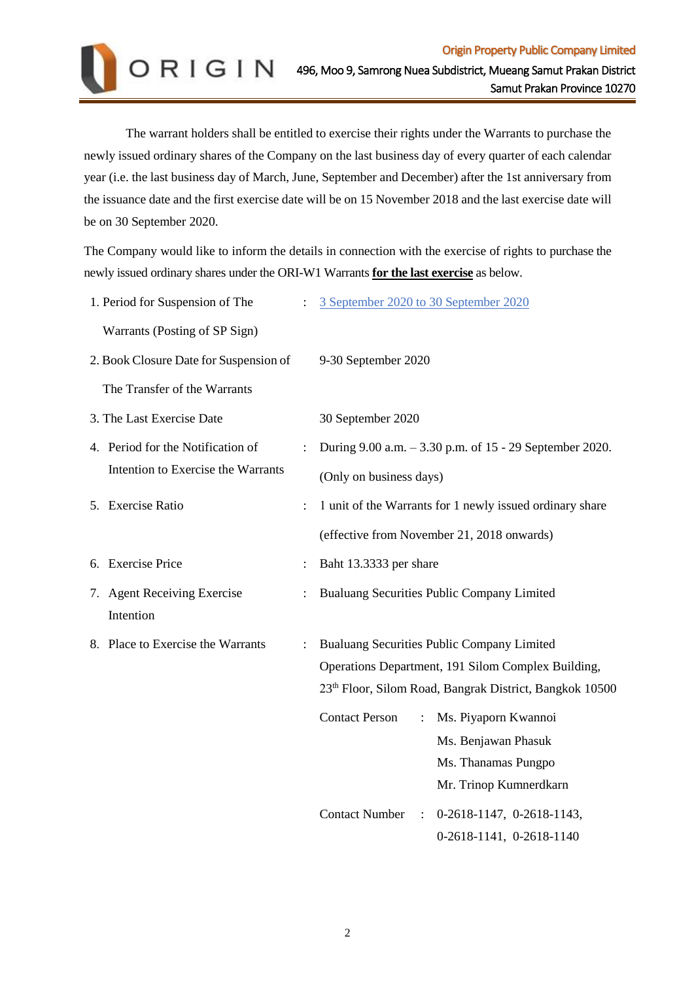

The warrant holders shall be entitled to exercise their rights under the Warrants to purchase the newly issued ordinary shares of the Company on the last business day of every quarter of each calendar year (i.e. the last business day of March, June, September and December) after the 1st anniversary from the issuance date and the first exercise date will be on 15 November 2018 and the last exercise date will be on 30 September 2020.

The Company would like to inform the details in connection with the exercise of rights to purchase the newly issued ordinary shares under the ORI-W1 Warrants **for the last exercise** as below.

|                                        | 1. Period for Suspension of The          |  | 3 September 2020 to 30 September 2020                                                                                                                                   |
|----------------------------------------|------------------------------------------|--|-------------------------------------------------------------------------------------------------------------------------------------------------------------------------|
|                                        | Warrants (Posting of SP Sign)            |  |                                                                                                                                                                         |
| 2. Book Closure Date for Suspension of |                                          |  | 9-30 September 2020                                                                                                                                                     |
|                                        | The Transfer of the Warrants             |  |                                                                                                                                                                         |
| 3. The Last Exercise Date              |                                          |  | 30 September 2020                                                                                                                                                       |
|                                        | 4. Period for the Notification of        |  | During 9.00 a.m. - 3.30 p.m. of 15 - 29 September 2020.                                                                                                                 |
|                                        | Intention to Exercise the Warrants       |  | (Only on business days)                                                                                                                                                 |
|                                        | 5. Exercise Ratio                        |  | 1 unit of the Warrants for 1 newly issued ordinary share                                                                                                                |
|                                        |                                          |  | (effective from November 21, 2018 onwards)                                                                                                                              |
|                                        | 6. Exercise Price                        |  | Baht 13.3333 per share                                                                                                                                                  |
|                                        | 7. Agent Receiving Exercise<br>Intention |  | Bualuang Securities Public Company Limited                                                                                                                              |
|                                        | 8. Place to Exercise the Warrants        |  | Bualuang Securities Public Company Limited<br>Operations Department, 191 Silom Complex Building,<br>23 <sup>th</sup> Floor, Silom Road, Bangrak District, Bangkok 10500 |
|                                        |                                          |  | Ms. Piyaporn Kwannoi<br><b>Contact Person</b><br>$\ddot{\cdot}$<br>Ms. Benjawan Phasuk<br>Ms. Thanamas Pungpo<br>Mr. Trinop Kumnerdkarn                                 |
|                                        |                                          |  | <b>Contact Number</b><br>0-2618-1147, 0-2618-1143,<br>$\ddot{\cdot}$<br>0-2618-1141, 0-2618-1140                                                                        |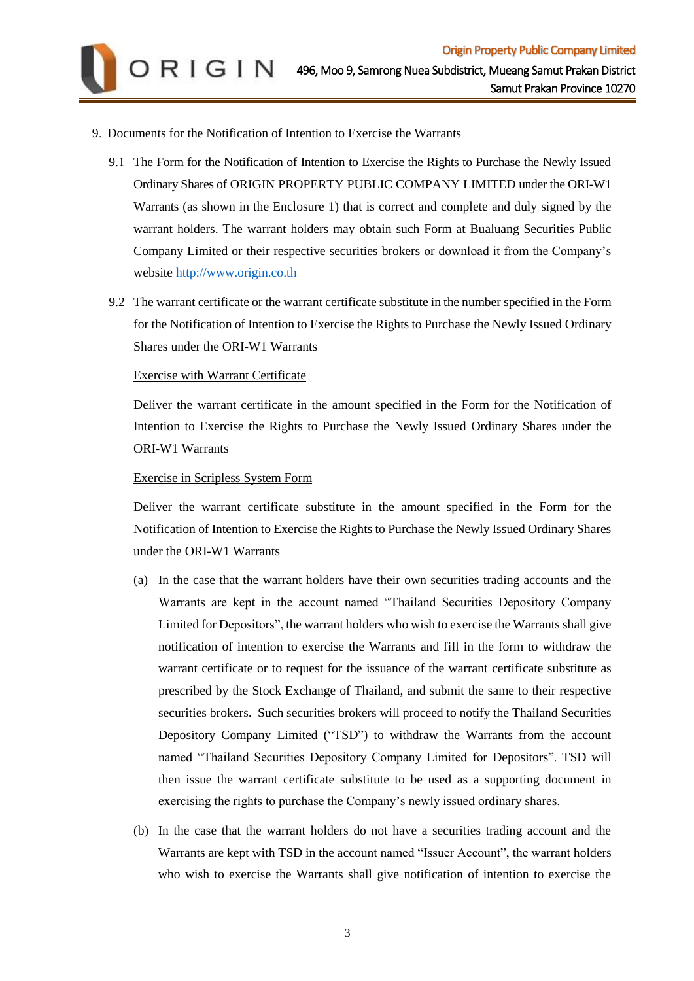- 9. Documents for the Notification of Intention to Exercise the Warrants
	- 9.1 The Form for the Notification of Intention to Exercise the Rights to Purchase the Newly Issued Ordinary Shares of ORIGIN PROPERTY PUBLIC COMPANY LIMITED under the ORI-W1 Warrants (as shown in the Enclosure 1) that is correct and complete and duly signed by the warrant holders. The warrant holders may obtain such Form at Bualuang Securities Public Company Limited or their respective securities brokers or download it from the Company's website [http://www.origin.co.th](http://www.origin.co.th/)
	- 9.2 The warrant certificate or the warrant certificate substitute in the number specified in the Form for the Notification of Intention to Exercise the Rights to Purchase the Newly Issued Ordinary Shares under the ORI-W1 Warrants

## Exercise with Warrant Certificate

Deliver the warrant certificate in the amount specified in the Form for the Notification of Intention to Exercise the Rights to Purchase the Newly Issued Ordinary Shares under the ORI-W1 Warrants

## Exercise in Scripless System Form

Deliver the warrant certificate substitute in the amount specified in the Form for the Notification of Intention to Exercise the Rights to Purchase the Newly Issued Ordinary Shares under the ORI-W1 Warrants

- (a) In the case that the warrant holders have their own securities trading accounts and the Warrants are kept in the account named "Thailand Securities Depository Company Limited for Depositors", the warrant holders who wish to exercise the Warrants shall give notification of intention to exercise the Warrants and fill in the form to withdraw the warrant certificate or to request for the issuance of the warrant certificate substitute as prescribed by the Stock Exchange of Thailand, and submit the same to their respective securities brokers. Such securities brokers will proceed to notify the Thailand Securities Depository Company Limited ("TSD") to withdraw the Warrants from the account named "Thailand Securities Depository Company Limited for Depositors". TSD will then issue the warrant certificate substitute to be used as a supporting document in exercising the rights to purchase the Company's newly issued ordinary shares.
- (b) In the case that the warrant holders do not have a securities trading account and the Warrants are kept with TSD in the account named "Issuer Account", the warrant holders who wish to exercise the Warrants shall give notification of intention to exercise the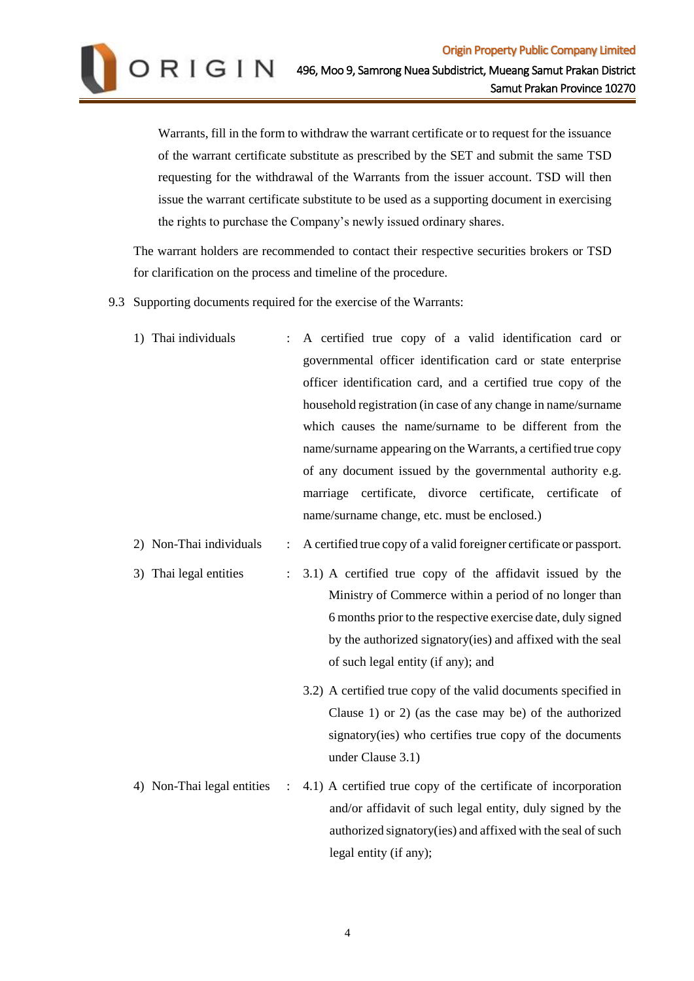Warrants, fill in the form to withdraw the warrant certificate or to request for the issuance of the warrant certificate substitute as prescribed by the SET and submit the same TSD requesting for the withdrawal of the Warrants from the issuer account. TSD will then issue the warrant certificate substitute to be used as a supporting document in exercising the rights to purchase the Company's newly issued ordinary shares.

The warrant holders are recommended to contact their respective securities brokers or TSD for clarification on the process and timeline of the procedure.

9.3 Supporting documents required for the exercise of the Warrants:

| 1) Thai individuals     |                           | : A certified true copy of a valid identification card or             |
|-------------------------|---------------------------|-----------------------------------------------------------------------|
|                         |                           | governmental officer identification card or state enterprise          |
|                         |                           | officer identification card, and a certified true copy of the         |
|                         |                           | household registration (in case of any change in name/surname         |
|                         |                           | which causes the name/surname to be different from the                |
|                         |                           | name/surname appearing on the Warrants, a certified true copy         |
|                         |                           | of any document issued by the governmental authority e.g.             |
|                         |                           | marriage certificate, divorce certificate, certificate of             |
|                         |                           | name/surname change, etc. must be enclosed.)                          |
| 2) Non-Thai individuals |                           | : A certified true copy of a valid foreigner certificate or passport. |
| 3) Thai legal entities  | $\mathbb{Z}^{\mathbb{Z}}$ | 3.1) A certified true copy of the affidavit issued by the             |
|                         |                           | Ministry of Commerce within a period of no longer than                |
|                         |                           | 6 months prior to the respective exercise date, duly signed           |
|                         |                           | by the authorized signatory (ies) and affixed with the seal           |
|                         |                           | of such legal entity (if any); and                                    |

- 3.2) A certified true copy of the valid documents specified in Clause 1) or 2) (as the case may be) of the authorized signatory(ies) who certifies true copy of the documents under Clause 3.1)
- 4) Non-Thai legal entities : 4.1) A certified true copy of the certificate of incorporation and/or affidavit of such legal entity, duly signed by the authorized signatory(ies) and affixed with the seal of such legal entity (if any);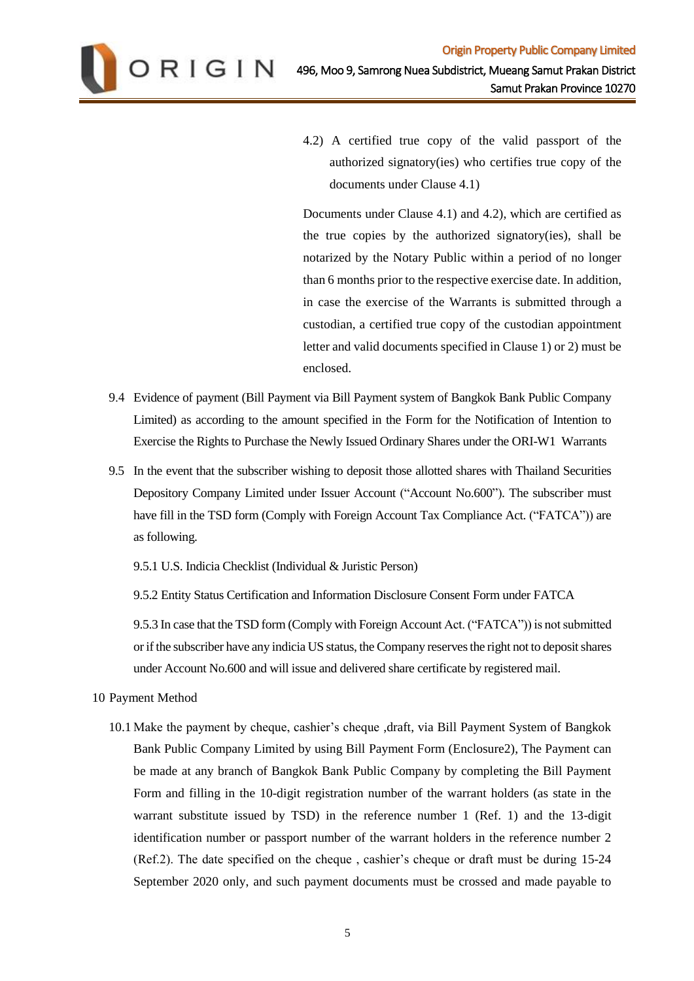

4.2) A certified true copy of the valid passport of the authorized signatory(ies) who certifies true copy of the documents under Clause 4.1)

Documents under Clause 4.1) and 4.2), which are certified as the true copies by the authorized signatory(ies), shall be notarized by the Notary Public within a period of no longer than 6 months prior to the respective exercise date. In addition, in case the exercise of the Warrants is submitted through a custodian, a certified true copy of the custodian appointment letter and valid documents specified in Clause 1) or 2) must be enclosed.

- 9.4 Evidence of payment (Bill Payment via Bill Payment system of Bangkok Bank Public Company Limited) as according to the amount specified in the Form for the Notification of Intention to Exercise the Rights to Purchase the Newly Issued Ordinary Shares under the ORI-W1 Warrants
- 9.5 In the event that the subscriber wishing to deposit those allotted shares with Thailand Securities Depository Company Limited under Issuer Account ("Account No.600"). The subscriber must have fill in the TSD form (Comply with Foreign Account Tax Compliance Act. ("FATCA")) are as following.

9.5.1 U.S. Indicia Checklist (Individual & Juristic Person)

9.5.2 Entity Status Certification and Information Disclosure Consent Form under FATCA

9.5.3 In case that the TSD form (Comply with Foreign Account Act. ("FATCA")) is not submitted or if the subscriber have any indicia US status, the Company reserves the right not to deposit shares under Account No.600 and will issue and delivered share certificate by registered mail.

- 10 Payment Method
	- 10.1 Make the payment by cheque, cashier's cheque ,draft, via Bill Payment System of Bangkok Bank Public Company Limited by using Bill Payment Form (Enclosure2), The Payment can be made at any branch of Bangkok Bank Public Company by completing the Bill Payment Form and filling in the 10-digit registration number of the warrant holders (as state in the warrant substitute issued by TSD) in the reference number 1 (Ref. 1) and the 13-digit identification number or passport number of the warrant holders in the reference number 2 (Ref.2). The date specified on the cheque , cashier's cheque or draft must be during 15-24 September 2020 only, and such payment documents must be crossed and made payable to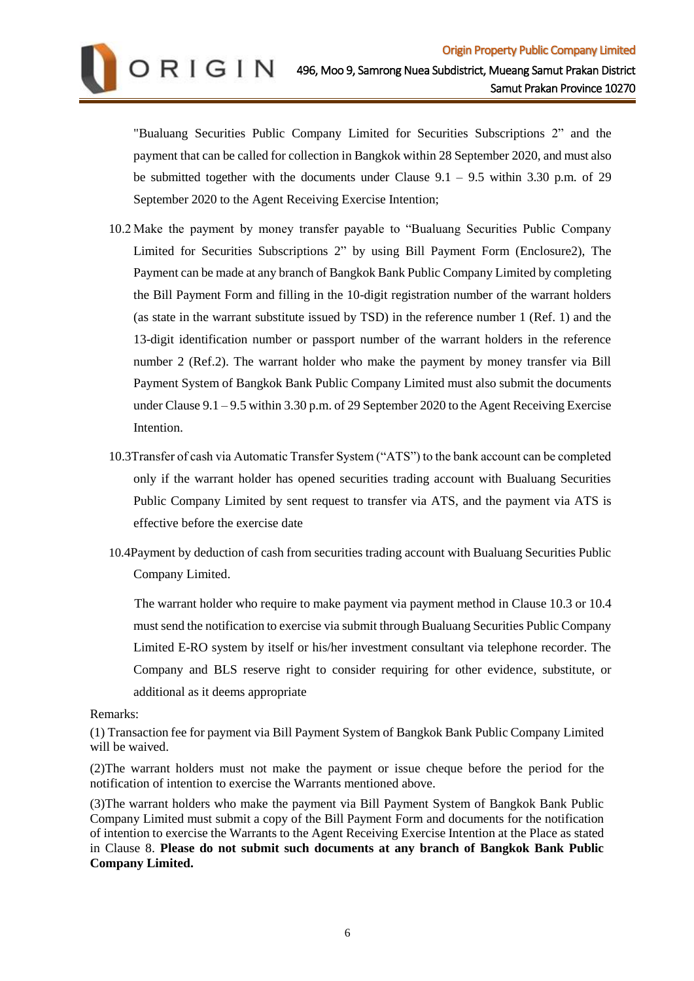

"Bualuang Securities Public Company Limited for Securities Subscriptions 2" and the payment that can be called for collection in Bangkok within 28 September 2020, and must also be submitted together with the documents under Clause  $9.1 - 9.5$  within 3.30 p.m. of 29 September 2020 to the Agent Receiving Exercise Intention;

- 10.2 Make the payment by money transfer payable to "Bualuang Securities Public Company Limited for Securities Subscriptions 2" by using Bill Payment Form (Enclosure2), The Payment can be made at any branch of Bangkok Bank Public Company Limited by completing the Bill Payment Form and filling in the 10-digit registration number of the warrant holders (as state in the warrant substitute issued by TSD) in the reference number 1 (Ref. 1) and the 13-digit identification number or passport number of the warrant holders in the reference number 2 (Ref.2). The warrant holder who make the payment by money transfer via Bill Payment System of Bangkok Bank Public Company Limited must also submit the documents under Clause 9.1 – 9.5 within 3.30 p.m. of 29 September 2020 to the Agent Receiving Exercise Intention.
- 10.3Transfer of cash via Automatic Transfer System ("ATS") to the bank account can be completed only if the warrant holder has opened securities trading account with Bualuang Securities Public Company Limited by sent request to transfer via ATS, and the payment via ATS is effective before the exercise date
- 10.4Payment by deduction of cash from securities trading account with Bualuang Securities Public Company Limited.

 The warrant holder who require to make payment via payment method in Clause 10.3 or 10.4 must send the notification to exercise via submit through Bualuang Securities Public Company Limited E-RO system by itself or his/her investment consultant via telephone recorder. The Company and BLS reserve right to consider requiring for other evidence, substitute, or additional as it deems appropriate

Remarks:

(1) Transaction fee for payment via Bill Payment System of Bangkok Bank Public Company Limited will be waived.

(2)The warrant holders must not make the payment or issue cheque before the period for the notification of intention to exercise the Warrants mentioned above.

(3)The warrant holders who make the payment via Bill Payment System of Bangkok Bank Public Company Limited must submit a copy of the Bill Payment Form and documents for the notification of intention to exercise the Warrants to the Agent Receiving Exercise Intention at the Place as stated in Clause 8. **Please do not submit such documents at any branch of Bangkok Bank Public Company Limited.**